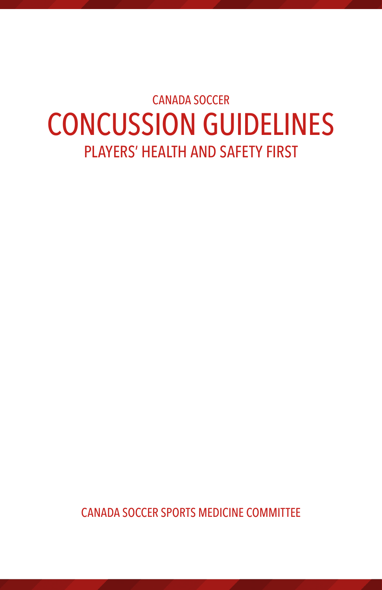# CANADA SOCCER CONCUSSION GUIDELINES PLAYERS' HEALTH AND SAFETY FIRST

CANADA SOCCER SPORTS MEDICINE COMMITTEE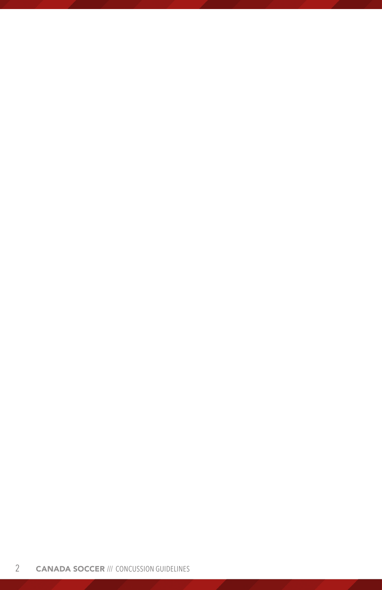**CANADA SOCCER /// CONCUSSION GUIDELINES**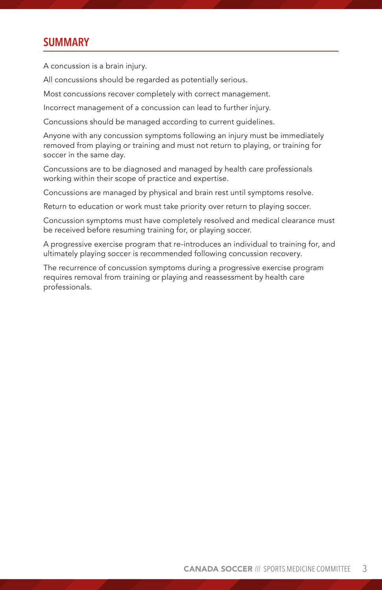# **SUMMARY**

A concussion is a brain injury.

All concussions should be regarded as potentially serious.

Most concussions recover completely with correct management.

Incorrect management of a concussion can lead to further injury.

Concussions should be managed according to current guidelines.

Anyone with any concussion symptoms following an injury must be immediately removed from playing or training and must not return to playing, or training for soccer in the same day.

Concussions are to be diagnosed and managed by health care professionals working within their scope of practice and expertise.

Concussions are managed by physical and brain rest until symptoms resolve.

Return to education or work must take priority over return to playing soccer.

Concussion symptoms must have completely resolved and medical clearance must be received before resuming training for, or playing soccer.

A progressive exercise program that re-introduces an individual to training for, and ultimately playing soccer is recommended following concussion recovery.

The recurrence of concussion symptoms during a progressive exercise program requires removal from training or playing and reassessment by health care professionals.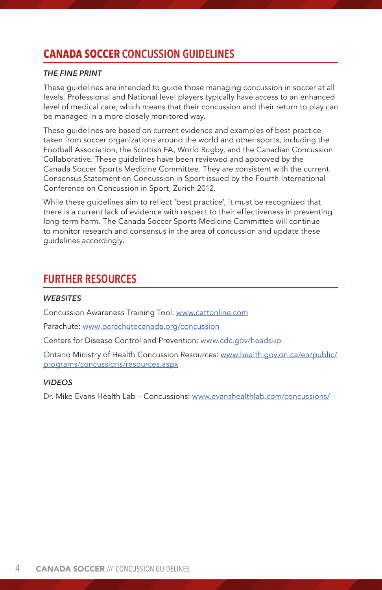# **CANADA SOCCER CONCUSSION GUIDELINES**

#### *THE FINE PRINT*

These guidelines are intended to guide those managing concussion in soccer at all levels. Professional and National level players typically have access to an enhanced level of medical care, which means that their concussion and their return to play can be managed in a more closely monitored way.

These guidelines are based on current evidence and examples of best practice taken from soccer organizations around the world and other sports, including the Football Association, the Scottish FA, World Rugby, and the Canadian Concussion Collaborative. These guidelines have been reviewed and approved by the Canada Soccer Sports Medicine Committee. They are consistent with the current Consensus Statement on Concussion in Sport issued by the Fourth International Conference on Concussion in Sport, Zurich 2012.

While these guidelines aim to reflect 'best practice', it must be recognized that there is a current lack of evidence with respect to their effectiveness in preventing long-term harm. The Canada Soccer Sports Medicine Committee will continue to monitor research and consensus in the area of concussion and update these guidelines accordingly.

# **FURTHER RESOURCES**

#### *WEBSITES*

Concussion Awareness Training Tool: www.cattonline.com

Parachute: www.parachutecanada.org/concussion

Centers for Disease Control and Prevention: www.cdc.gov/headsup

Ontario Ministry of Health Concussion Resources: www.health.gov.on.ca/en/public/ programs/concussions/resources.aspx

#### *VIDEOS*

Dr. Mike Evans Health Lab – Concussions: www.evanshealthlab.com/concussions/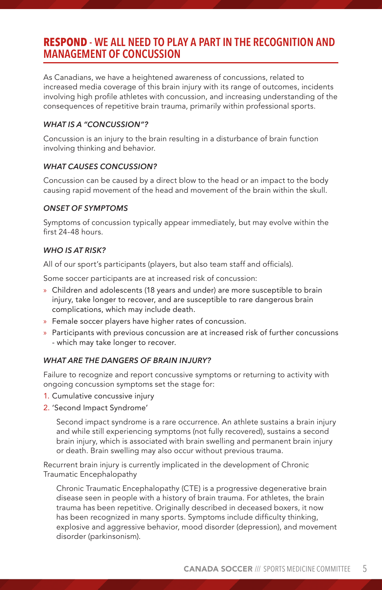# **RESPOND - WE ALL NEED TO PLAY A PART IN THE RECOGNITION AND MANAGEMENT OF CONCUSSION**

As Canadians, we have a heightened awareness of concussions, related to increased media coverage of this brain injury with its range of outcomes, incidents involving high profile athletes with concussion, and increasing understanding of the consequences of repetitive brain trauma, primarily within professional sports.

#### *WHAT IS A "CONCUSSION"?*

Concussion is an injury to the brain resulting in a disturbance of brain function involving thinking and behavior.

#### *WHAT CAUSES CONCUSSION?*

Concussion can be caused by a direct blow to the head or an impact to the body causing rapid movement of the head and movement of the brain within the skull.

#### *ONSET OF SYMPTOMS*

Symptoms of concussion typically appear immediately, but may evolve within the first 24-48 hours.

#### *WHO IS AT RISK?*

All of our sport's participants (players, but also team staff and officials).

Some soccer participants are at increased risk of concussion:

- » Children and adolescents (18 years and under) are more susceptible to brain injury, take longer to recover, and are susceptible to rare dangerous brain complications, which may include death.
- » Female soccer players have higher rates of concussion.
- » Participants with previous concussion are at increased risk of further concussions - which may take longer to recover.

#### *WHAT ARE THE DANGERS OF BRAIN INJURY?*

Failure to recognize and report concussive symptoms or returning to activity with ongoing concussion symptoms set the stage for:

- 1. Cumulative concussive injury
- 2. 'Second Impact Syndrome'

Second impact syndrome is a rare occurrence. An athlete sustains a brain injury and while still experiencing symptoms (not fully recovered), sustains a second brain injury, which is associated with brain swelling and permanent brain injury or death. Brain swelling may also occur without previous trauma.

Recurrent brain injury is currently implicated in the development of Chronic Traumatic Encephalopathy

Chronic Traumatic Encephalopathy (CTE) is a progressive degenerative brain disease seen in people with a history of brain trauma. For athletes, the brain trauma has been repetitive. Originally described in deceased boxers, it now has been recognized in many sports. Symptoms include difficulty thinking, explosive and aggressive behavior, mood disorder (depression), and movement disorder (parkinsonism).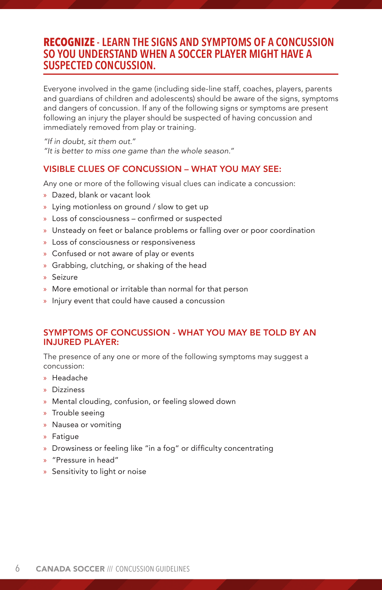# **RECOGNIZE - LEARN THE SIGNS AND SYMPTOMS OF A CONCUSSION SO YOU UNDERSTAND WHEN A SOCCER PLAYER MIGHT HAVE A SUSPECTED CONCUSSION.**

Everyone involved in the game (including side-line staff, coaches, players, parents and guardians of children and adolescents) should be aware of the signs, symptoms and dangers of concussion. If any of the following signs or symptoms are present following an injury the player should be suspected of having concussion and immediately removed from play or training.

*"If in doubt, sit them out."*

*"It is better to miss one game than the whole season."*

#### VISIBLE CLUES OF CONCUSSION – WHAT YOU MAY SEE:

Any one or more of the following visual clues can indicate a concussion:

- » Dazed, blank or vacant look
- » Lying motionless on ground / slow to get up
- » Loss of consciousness confirmed or suspected
- » Unsteady on feet or balance problems or falling over or poor coordination
- » Loss of consciousness or responsiveness
- » Confused or not aware of play or events
- » Grabbing, clutching, or shaking of the head
- » Seizure
- » More emotional or irritable than normal for that person
- » Injury event that could have caused a concussion

#### SYMPTOMS OF CONCUSSION - WHAT YOU MAY BE TOLD BY AN INJURED PLAYER:

The presence of any one or more of the following symptoms may suggest a concussion:

- » Headache
- » Dizziness
- » Mental clouding, confusion, or feeling slowed down
- » Trouble seeing
- » Nausea or vomiting
- » Fatigue
- » Drowsiness or feeling like "in a fog" or difficulty concentrating
- » "Pressure in head"
- » Sensitivity to light or noise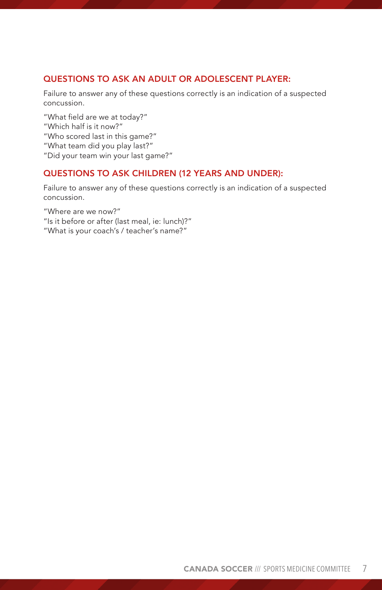### QUESTIONS TO ASK AN ADULT OR ADOLESCENT PLAYER:

Failure to answer any of these questions correctly is an indication of a suspected concussion.

"What field are we at today?"

"Which half is it now?"

"Who scored last in this game?"

"What team did you play last?"

"Did your team win your last game?"

#### QUESTIONS TO ASK CHILDREN (12 YEARS AND UNDER):

Failure to answer any of these questions correctly is an indication of a suspected concussion.

"Where are we now?"

"Is it before or after (last meal, ie: lunch)?"

"What is your coach's / teacher's name?"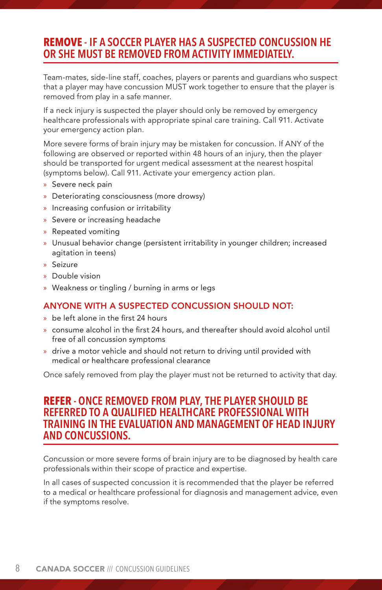# **REMOVE - IF A SOCCER PLAYER HAS A SUSPECTED CONCUSSION HE OR SHE MUST BE REMOVED FROM ACTIVITY IMMEDIATELY.**

Team-mates, side-line staff, coaches, players or parents and guardians who suspect that a player may have concussion MUST work together to ensure that the player is removed from play in a safe manner.

If a neck injury is suspected the player should only be removed by emergency healthcare professionals with appropriate spinal care training. Call 911. Activate your emergency action plan.

More severe forms of brain injury may be mistaken for concussion. If ANY of the following are observed or reported within 48 hours of an injury, then the player should be transported for urgent medical assessment at the nearest hospital (symptoms below). Call 911. Activate your emergency action plan.

- » Severe neck pain
- » Deteriorating consciousness (more drowsy)
- » Increasing confusion or irritability
- » Severe or increasing headache
- » Repeated vomiting
- » Unusual behavior change (persistent irritability in younger children; increased agitation in teens)
- » Seizure
- » Double vision
- » Weakness or tingling / burning in arms or legs

## ANYONE WITH A SUSPECTED CONCUSSION SHOULD NOT:

- » be left alone in the first 24 hours
- » consume alcohol in the first 24 hours, and thereafter should avoid alcohol until free of all concussion symptoms
- » drive a motor vehicle and should not return to driving until provided with medical or healthcare professional clearance

Once safely removed from play the player must not be returned to activity that day.

# **REFER - ONCE REMOVED FROM PLAY, THE PLAYER SHOULD BE REFERRED TO A QUALIFIED HEALTHCARE PROFESSIONAL WITH TRAINING IN THE EVALUATION AND MANAGEMENT OF HEAD INJURY AND CONCUSSIONS.**

Concussion or more severe forms of brain injury are to be diagnosed by health care professionals within their scope of practice and expertise.

In all cases of suspected concussion it is recommended that the player be referred to a medical or healthcare professional for diagnosis and management advice, even if the symptoms resolve.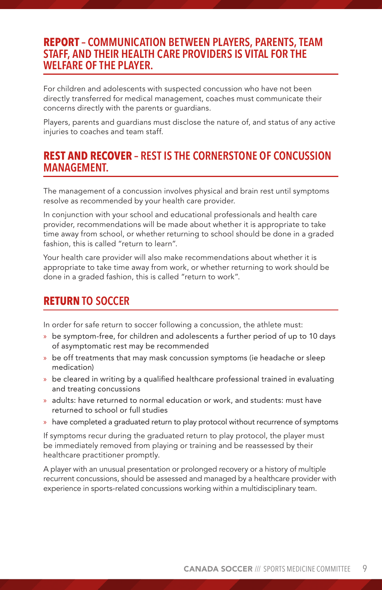# **REPORT – COMMUNICATION BETWEEN PLAYERS, PARENTS, TEAM STAFF, AND THEIR HEALTH CARE PROVIDERS IS VITAL FOR THE WELFARE OF THE PLAYER.**

For children and adolescents with suspected concussion who have not been directly transferred for medical management, coaches must communicate their concerns directly with the parents or guardians.

Players, parents and guardians must disclose the nature of, and status of any active injuries to coaches and team staff.

# **REST AND RECOVER – REST IS THE CORNERSTONE OF CONCUSSION MANAGEMENT.**

The management of a concussion involves physical and brain rest until symptoms resolve as recommended by your health care provider.

In conjunction with your school and educational professionals and health care provider, recommendations will be made about whether it is appropriate to take time away from school, or whether returning to school should be done in a graded fashion, this is called "return to learn".

Your health care provider will also make recommendations about whether it is appropriate to take time away from work, or whether returning to work should be done in a graded fashion, this is called "return to work".

# **RETURN TO SOCCER**

In order for safe return to soccer following a concussion, the athlete must:

- » be symptom-free, for children and adolescents a further period of up to 10 days of asymptomatic rest may be recommended
- » be off treatments that may mask concussion symptoms (ie headache or sleep medication)
- » be cleared in writing by a qualified healthcare professional trained in evaluating and treating concussions
- » adults: have returned to normal education or work, and students: must have returned to school or full studies
- » have completed a graduated return to play protocol without recurrence of symptoms

If symptoms recur during the graduated return to play protocol, the player must be immediately removed from playing or training and be reassessed by their healthcare practitioner promptly.

A player with an unusual presentation or prolonged recovery or a history of multiple recurrent concussions, should be assessed and managed by a healthcare provider with experience in sports-related concussions working within a multidisciplinary team.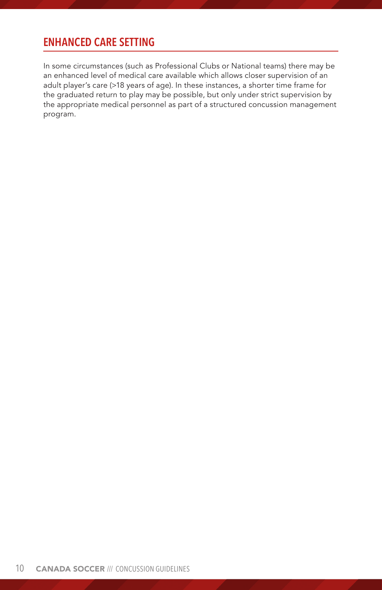# **ENHANCED CARE SETTING**

In some circumstances (such as Professional Clubs or National teams) there may be an enhanced level of medical care available which allows closer supervision of an adult player's care (>18 years of age). In these instances, a shorter time frame for the graduated return to play may be possible, but only under strict supervision by the appropriate medical personnel as part of a structured concussion management program.